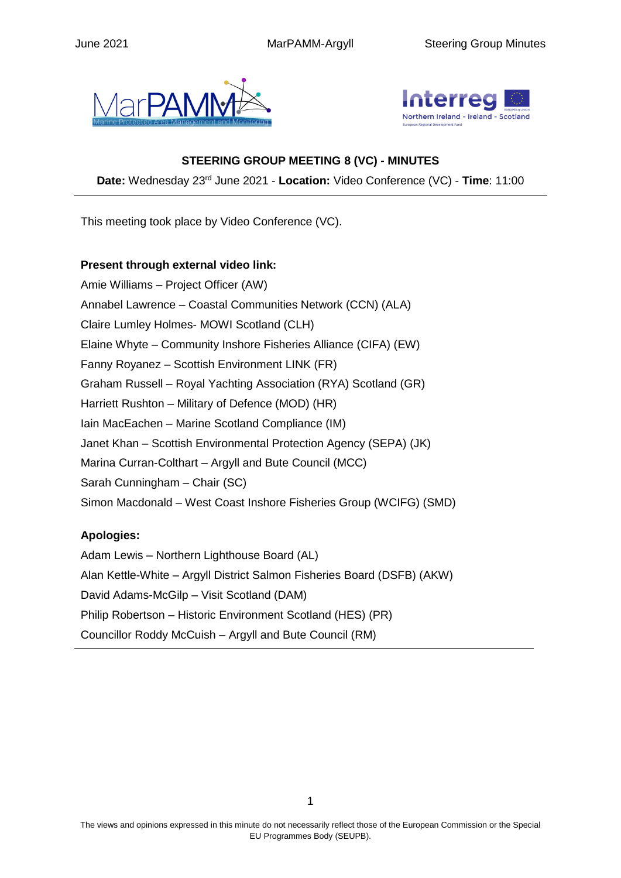



## **STEERING GROUP MEETING 8 (VC) - MINUTES**

**Date:** Wednesday 23rd June 2021 - **Location:** Video Conference (VC) - **Time**: 11:00

This meeting took place by Video Conference (VC).

**Present through external video link:** Amie Williams – Project Officer (AW) Annabel Lawrence – Coastal Communities Network (CCN) (ALA) Claire Lumley Holmes- MOWI Scotland (CLH) Elaine Whyte – Community Inshore Fisheries Alliance (CIFA) (EW) Fanny Royanez – Scottish Environment LINK (FR) Graham Russell – Royal Yachting Association (RYA) Scotland (GR) Harriett Rushton – Military of Defence (MOD) (HR) Iain MacEachen – Marine Scotland Compliance (IM) Janet Khan – Scottish Environmental Protection Agency (SEPA) (JK) Marina Curran-Colthart – Argyll and Bute Council (MCC) Sarah Cunningham – Chair (SC) Simon Macdonald – West Coast Inshore Fisheries Group (WCIFG) (SMD)

## **Apologies:**

Adam Lewis – Northern Lighthouse Board (AL) Alan Kettle-White – Argyll District Salmon Fisheries Board (DSFB) (AKW) David Adams-McGilp – Visit Scotland (DAM) Philip Robertson – Historic Environment Scotland (HES) (PR) Councillor Roddy McCuish – Argyll and Bute Council (RM)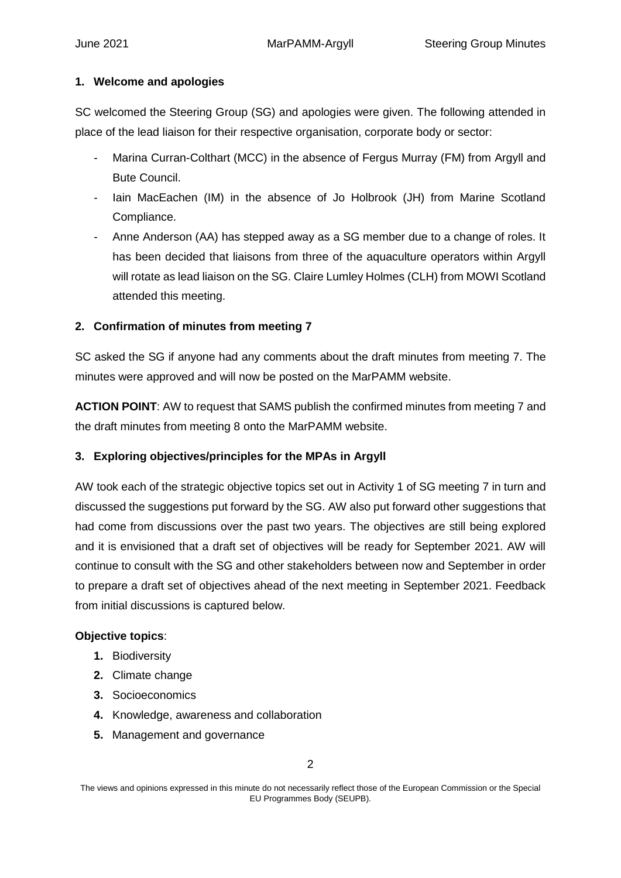#### **1. Welcome and apologies**

SC welcomed the Steering Group (SG) and apologies were given. The following attended in place of the lead liaison for their respective organisation, corporate body or sector:

- Marina Curran-Colthart (MCC) in the absence of Fergus Murray (FM) from Argyll and Bute Council.
- lain MacEachen (IM) in the absence of Jo Holbrook (JH) from Marine Scotland Compliance.
- Anne Anderson (AA) has stepped away as a SG member due to a change of roles. It has been decided that liaisons from three of the aquaculture operators within Argyll will rotate as lead liaison on the SG. Claire Lumley Holmes (CLH) from MOWI Scotland attended this meeting.

## **2. Confirmation of minutes from meeting 7**

SC asked the SG if anyone had any comments about the draft minutes from meeting 7. The minutes were approved and will now be posted on the MarPAMM website.

**ACTION POINT**: AW to request that SAMS publish the confirmed minutes from meeting 7 and the draft minutes from meeting 8 onto the MarPAMM website.

## **3. Exploring objectives/principles for the MPAs in Argyll**

AW took each of the strategic objective topics set out in Activity 1 of SG meeting 7 in turn and discussed the suggestions put forward by the SG. AW also put forward other suggestions that had come from discussions over the past two years. The objectives are still being explored and it is envisioned that a draft set of objectives will be ready for September 2021. AW will continue to consult with the SG and other stakeholders between now and September in order to prepare a draft set of objectives ahead of the next meeting in September 2021. Feedback from initial discussions is captured below.

#### **Objective topics**:

- **1.** Biodiversity
- **2.** Climate change
- **3.** Socioeconomics
- **4.** Knowledge, awareness and collaboration
- **5.** Management and governance

The views and opinions expressed in this minute do not necessarily reflect those of the European Commission or the Special EU Programmes Body (SEUPB).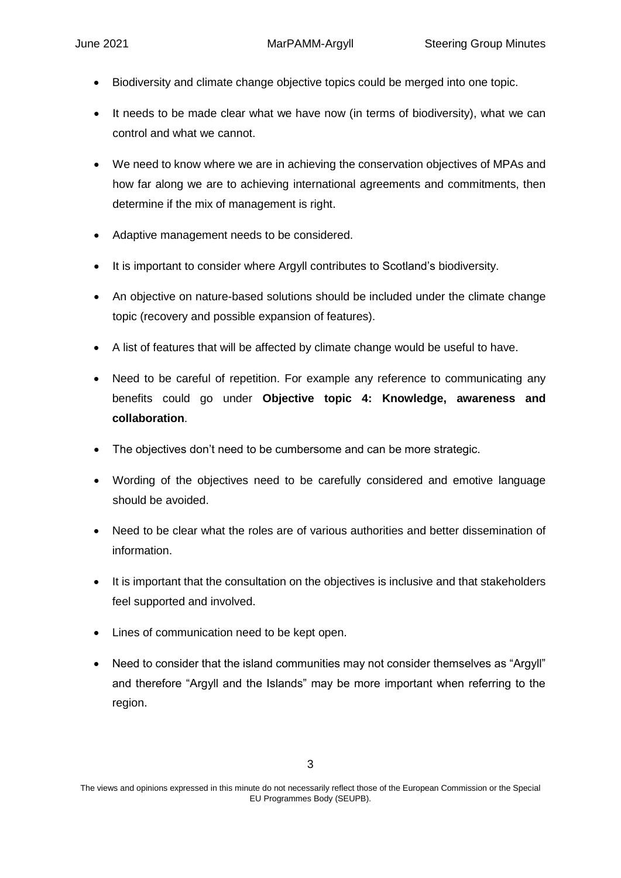- Biodiversity and climate change objective topics could be merged into one topic.
- It needs to be made clear what we have now (in terms of biodiversity), what we can control and what we cannot.
- We need to know where we are in achieving the conservation objectives of MPAs and how far along we are to achieving international agreements and commitments, then determine if the mix of management is right.
- Adaptive management needs to be considered.
- It is important to consider where Argyll contributes to Scotland's biodiversity.
- An objective on nature-based solutions should be included under the climate change topic (recovery and possible expansion of features).
- A list of features that will be affected by climate change would be useful to have.
- Need to be careful of repetition. For example any reference to communicating any benefits could go under **Objective topic 4: Knowledge, awareness and collaboration**.
- The objectives don't need to be cumbersome and can be more strategic.
- Wording of the objectives need to be carefully considered and emotive language should be avoided.
- Need to be clear what the roles are of various authorities and better dissemination of information.
- It is important that the consultation on the objectives is inclusive and that stakeholders feel supported and involved.
- Lines of communication need to be kept open.
- Need to consider that the island communities may not consider themselves as "Argyll" and therefore "Argyll and the Islands" may be more important when referring to the region.

The views and opinions expressed in this minute do not necessarily reflect those of the European Commission or the Special EU Programmes Body (SEUPB).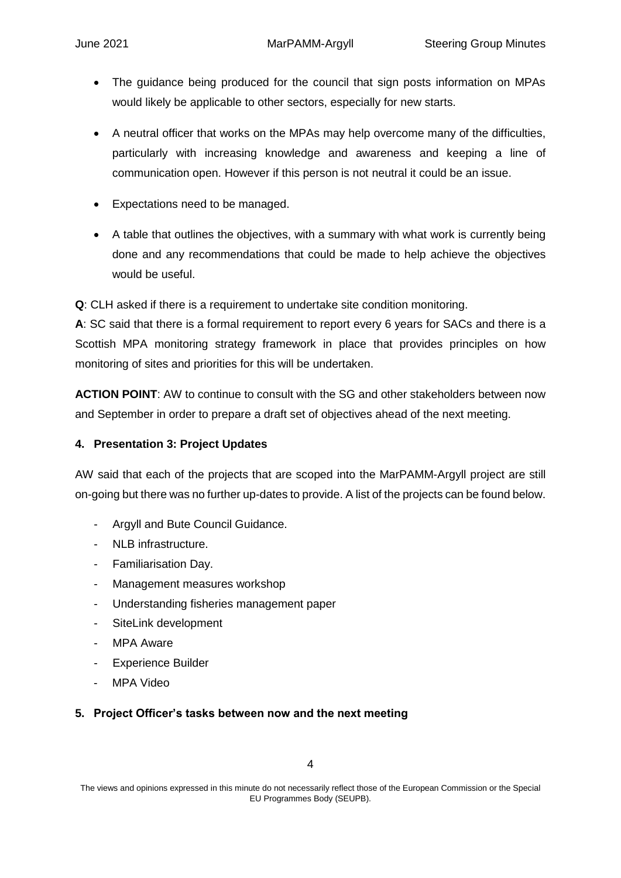- The guidance being produced for the council that sign posts information on MPAs would likely be applicable to other sectors, especially for new starts.
- A neutral officer that works on the MPAs may help overcome many of the difficulties, particularly with increasing knowledge and awareness and keeping a line of communication open. However if this person is not neutral it could be an issue.
- Expectations need to be managed.
- A table that outlines the objectives, with a summary with what work is currently being done and any recommendations that could be made to help achieve the objectives would be useful.

**Q**: CLH asked if there is a requirement to undertake site condition monitoring.

**A**: SC said that there is a formal requirement to report every 6 years for SACs and there is a Scottish MPA monitoring strategy framework in place that provides principles on how monitoring of sites and priorities for this will be undertaken.

**ACTION POINT**: AW to continue to consult with the SG and other stakeholders between now and September in order to prepare a draft set of objectives ahead of the next meeting.

## **4. Presentation 3: Project Updates**

AW said that each of the projects that are scoped into the MarPAMM-Argyll project are still on-going but there was no further up-dates to provide. A list of the projects can be found below.

- Argyll and Bute Council Guidance.
- NLB infrastructure.
- Familiarisation Day.
- Management measures workshop
- Understanding fisheries management paper
- SiteLink development
- MPA Aware
- Experience Builder
- MPA Video

#### **5. Project Officer's tasks between now and the next meeting**

The views and opinions expressed in this minute do not necessarily reflect those of the European Commission or the Special EU Programmes Body (SEUPB).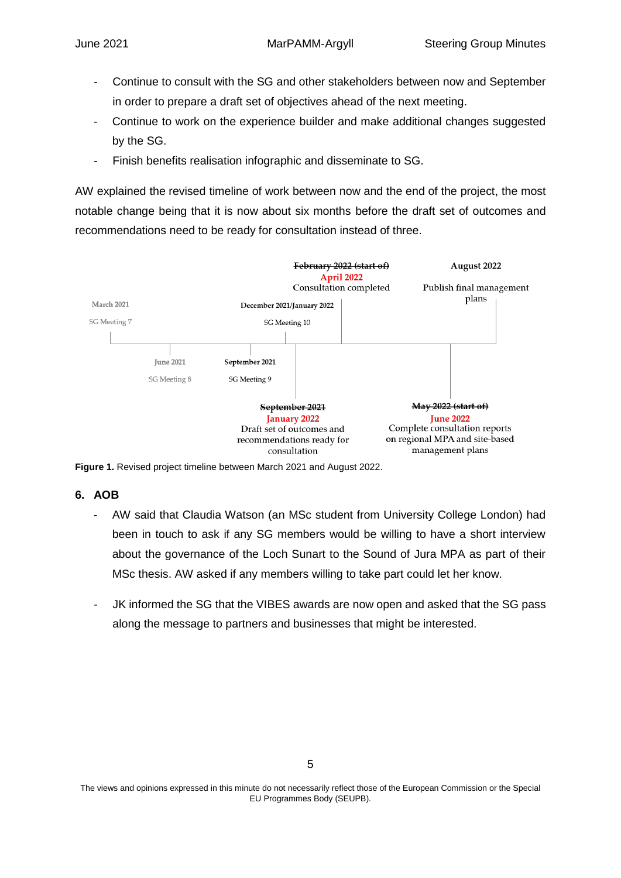- Continue to consult with the SG and other stakeholders between now and September in order to prepare a draft set of objectives ahead of the next meeting.
- Continue to work on the experience builder and make additional changes suggested by the SG.
- Finish benefits realisation infographic and disseminate to SG.

AW explained the revised timeline of work between now and the end of the project, the most notable change being that it is now about six months before the draft set of outcomes and recommendations need to be ready for consultation instead of three.



**Figure 1.** Revised project timeline between March 2021 and August 2022.

## **6. AOB**

- AW said that Claudia Watson (an MSc student from University College London) had been in touch to ask if any SG members would be willing to have a short interview about the governance of the Loch Sunart to the Sound of Jura MPA as part of their MSc thesis. AW asked if any members willing to take part could let her know.
- JK informed the SG that the VIBES awards are now open and asked that the SG pass along the message to partners and businesses that might be interested.

The views and opinions expressed in this minute do not necessarily reflect those of the European Commission or the Special EU Programmes Body (SEUPB).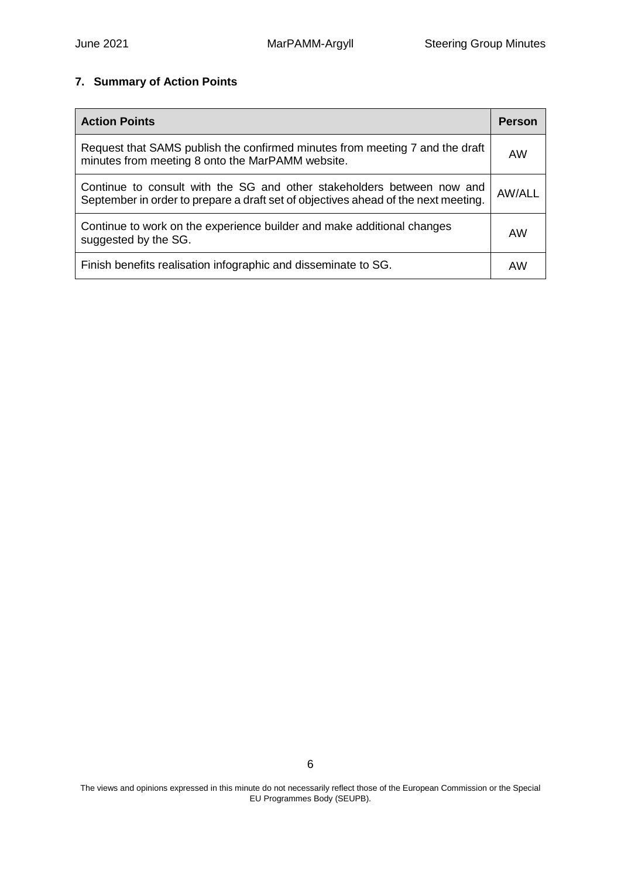# **7. Summary of Action Points**

| <b>Action Points</b>                                                                                                                                         | <b>Person</b> |
|--------------------------------------------------------------------------------------------------------------------------------------------------------------|---------------|
| Request that SAMS publish the confirmed minutes from meeting 7 and the draft<br>minutes from meeting 8 onto the MarPAMM website.                             | AW            |
| Continue to consult with the SG and other stakeholders between now and<br>September in order to prepare a draft set of objectives ahead of the next meeting. | AW/ALL        |
| Continue to work on the experience builder and make additional changes<br>suggested by the SG.                                                               |               |
| Finish benefits realisation infographic and disseminate to SG.                                                                                               | AW            |

The views and opinions expressed in this minute do not necessarily reflect those of the European Commission or the Special EU Programmes Body (SEUPB).